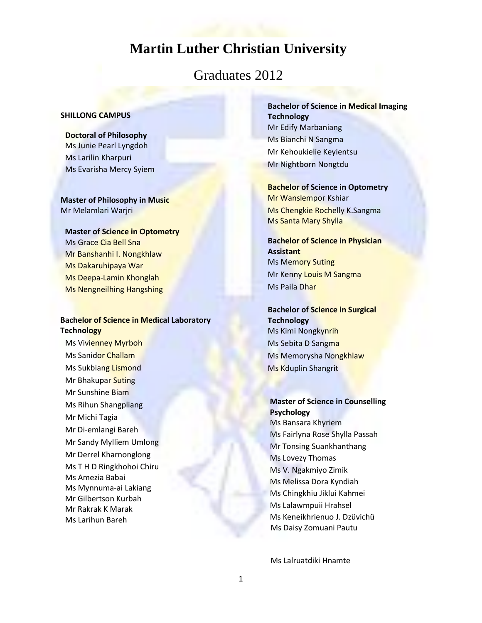# **Martin Luther Christian University**

## Graduates 2012

#### **SHILLONG CAMPUS**

**Doctoral of Philosophy** Ms Junie Pearl Lyngdoh Ms Larilin Kharpuri Ms Evarisha Mercy Syiem

### **Master of Philosophy in Music** Mr Melamlari Warjri

#### **Master of Science in Optometry**

Ms Grace Cia Bell Sna Mr Banshanhi I. Nongkhlaw Ms Dakaruhipaya War Ms Deepa-Lamin Khonglah Ms Nengneilhing Hangshing

### **Bachelor of Science in Medical Laboratory Technology**

Ms Vivienney Myrboh Ms Sanidor Challam Ms Sukbiang Lismond Mr Bhakupar Suting Mr Sunshine Biam Ms Rihun Shangpliang Mr Michi Tagia Mr Di-emlangi Bareh Mr Sandy Mylliem Umlong Mr Derrel Kharnonglong Ms T H D Ringkhohoi Chiru Ms Amezia Babai Ms Mynnuma-ai Lakiang Mr Gilbertson Kurbah Mr Rakrak K Marak Ms Larihun Bareh

**Bachelor of Science in Medical Imaging Technology** Mr Edify Marbaniang Ms Bianchi N Sangma Mr Kehoukielie Keyientsu Mr Nightborn Nongtdu

**Bachelor of Science in Optometry** Mr Wanslempor Kshiar Ms Chengkie Rochelly K.Sangma Ms Santa Mary Shylla

**Bachelor of Science in Physician Assistant** Ms Memory Suting Mr Kenny Louis M Sangma Ms Paila Dhar

**Bachelor of Science in Surgical Technology** Ms Kimi Nongkynrih Ms Sebita D Sangma Ms Memorysha Nongkhlaw Ms Kduplin Shangrit

**Master of Science in Counselling Psychology** Ms Bansara Khyriem Ms Fairlyna Rose Shylla Passah Mr Tonsing Suankhanthang Ms Lovezy Thomas Ms V. Ngakmiyo Zimik Ms Melissa Dora Kyndiah Ms Chingkhiu Jiklui Kahmei Ms Lalawmpuii Hrahsel Ms Keneikhrienuo J. Dzüvichü Ms Daisy Zomuani Pautu

Ms Lalruatdiki Hnamte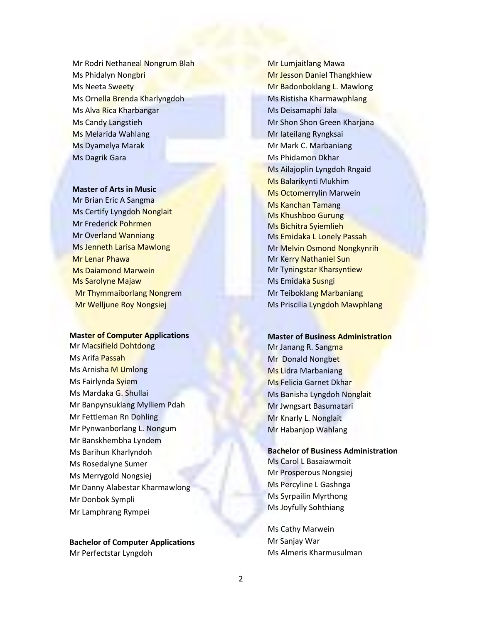Mr Rodri Nethaneal Nongrum Blah Ms Phidalyn Nongbri Ms Neeta Sweety Ms Ornella Brenda Kharlyngdoh Ms Alva Rica Kharbangar Ms Candy Langstieh Ms Melarida Wahlang Ms Dyamelya Marak Ms Dagrik Gara

#### **Master of Arts in Music**

Mr Brian Eric A Sangma Ms Certify Lyngdoh Nonglait Mr Frederick Pohrmen Mr Overland Wanniang Ms Jenneth Larisa Mawlong Mr Lenar Phawa Ms Daiamond Marwein Ms Sarolyne Majaw Mr Thymmaiborlang Nongrem Mr Welljune Roy Nongsiej

#### **Master of Computer Applications**

Mr Macsifield Dohtdong Ms Arifa Passah Ms Arnisha M Umlong Ms Fairlynda Syiem Ms Mardaka G. Shullai Mr Banpynsuklang Mylliem Pdah Mr Fettleman Rn Dohling Mr Pynwanborlang L. Nongum Mr Banskhembha Lyndem Ms Barihun Kharlyndoh Ms Rosedalyne Sumer Ms Merrygold Nongsiej Mr Danny Alabestar Kharmawlong Mr Donbok Sympli Mr Lamphrang Rympei

**Bachelor of Computer Applications** Mr Perfectstar Lyngdoh

Mr Lumjaitlang Mawa Mr Jesson Daniel Thangkhiew Mr Badonboklang L. Mawlong Ms Ristisha Kharmawphlang Ms Deisamaphi Jala Mr Shon Shon Green Kharjana Mr Iateilang Ryngksai Mr Mark C. Marbaniang Ms Phidamon Dkhar Ms Ailajoplin Lyngdoh Rngaid Ms Balarikynti Mukhim Ms Octomerrylin Marwein Ms Kanchan Tamang Ms Khushboo Gurung Ms Bichitra Syiemlieh Ms Emidaka L Lonely Passah Mr Melvin Osmond Nongkynrih Mr Kerry Nathaniel Sun Mr Tyningstar Kharsyntiew Ms Emidaka Susngi Mr Teiboklang Marbaniang Ms Priscilia Lyngdoh Mawphlang

#### **Master of Business Administration**

Mr Janang R. Sangma Mr Donald Nongbet Ms Lidra Marbaniang Ms Felicia Garnet Dkhar Ms Banisha Lyngdoh Nonglait Mr Jwngsart Basumatari Mr Knarly L. Nonglait Mr Habanjop Wahlang

#### **Bachelor of Business Administration**

Ms Carol L Basaiawmoit Mr Prosperous Nongsiej Ms Percyline L Gashnga Ms Syrpailin Myrthong Ms Joyfully Sohthiang

Ms Cathy Marwein Mr Sanjay War Ms Almeris Kharmusulman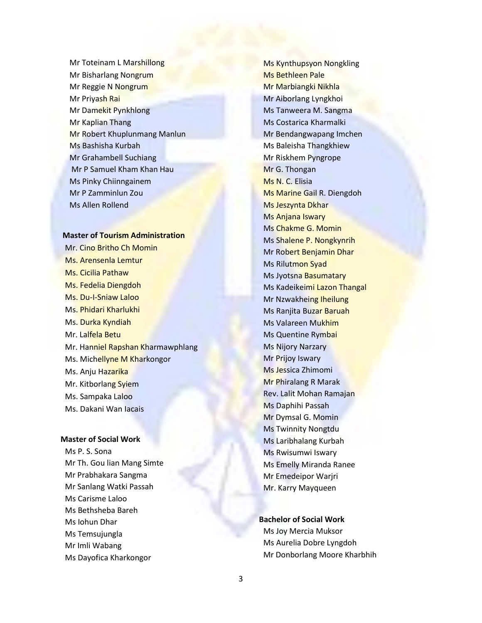Mr Toteinam L Marshillong Mr Bisharlang Nongrum Mr Reggie N Nongrum Mr Priyash Rai Mr Damekit Pynkhlong Mr Kaplian Thang Mr Robert Khuplunmang Manlun Ms Bashisha Kurbah Mr Grahambell Suchiang Mr P Samuel Kham Khan Hau Ms Pinky Chiinngainem Mr P Zamminlun Zou Ms Allen Rollend

#### **Master of Tourism Administration**

Mr. Cino Britho Ch Momin Ms. Arensenla Lemtur Ms. Cicilia Pathaw Ms. Fedelia Diengdoh Ms. Du-I-Sniaw Laloo Ms. Phidari Kharlukhi Ms. Durka Kyndiah Mr. Lalfela Betu Mr. Hanniel Rapshan Kharmawphlang Ms. Michellyne M Kharkongor Ms. Anju Hazarika Mr. Kitborlang Syiem Ms. Sampaka Laloo Ms. Dakani Wan Iacais

#### **Master of Social Work**

Ms P. S. Sona Mr Th. Gou lian Mang Simte Mr Prabhakara Sangma Mr Sanlang Watki Passah Ms Carisme Laloo Ms Bethsheba Bareh Ms Iohun Dhar Ms Temsujungla Mr Imli Wabang Ms Dayofica Kharkongor

Ms Kynthupsyon Nongkling Ms Bethleen Pale Mr Marbiangki Nikhla Mr Aiborlang Lyngkhoi Ms Tanweera M. Sangma Ms Costarica Kharmalki Mr Bendangwapang Imchen Ms Baleisha Thangkhiew Mr Riskhem Pyngrope Mr G. Thongan Ms N. C. Elisia Ms Marine Gail R. Diengdoh Ms Jeszynta Dkhar Ms Anjana Iswary Ms Chakme G. Momin Ms Shalene P. Nongkynrih Mr Robert Benjamin Dhar Ms Rilutmon Syad Ms Jyotsna Basumatary Ms Kadeikeimi Lazon Thangal Mr Nzwakheing Iheilung Ms Ranjita Buzar Baruah Ms Valareen Mukhim Ms Quentine Rymbai Ms Nijory Narzary Mr Prijoy Iswary Ms Jessica Zhimomi Mr Phiralang R Marak Rev. Lalit Mohan Ramajan Ms Daphihi Passah Mr Dymsal G. Momin Ms Twinnity Nongtdu Ms Laribhalang Kurbah Ms Rwisumwi Iswary Ms Emelly Miranda Ranee Mr Emedeipor Warjri Mr. Karry Mayqueen

#### **Bachelor of Social Work**

Ms Joy Mercia Muksor Ms Aurelia Dobre Lyngdoh Mr Donborlang Moore Kharbhih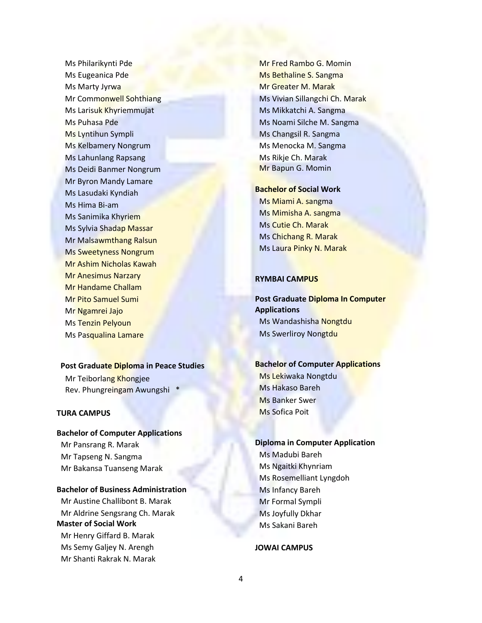Ms Philarikynti Pde Ms Eugeanica Pde Ms Marty Jyrwa Mr Commonwell Sohthiang Ms Larisuk Khyriemmujat Ms Puhasa Pde Ms Lyntihun Sympli Ms Kelbamery Nongrum Ms Lahunlang Rapsang Ms Deidi Banmer Nongrum Mr Byron Mandy Lamare Ms Lasudaki Kyndiah Ms Hima Bi-am Ms Sanimika Khyriem Ms Sylvia Shadap Massar Mr Malsawmthang Ralsun Ms Sweetyness Nongrum Mr Ashim Nicholas Kawah Mr Anesimus Narzary Mr Handame Challam Mr Pito Samuel Sumi Mr Ngamrei Jajo Ms Tenzin Pelyoun Ms Pasqualina Lamare

#### **Post Graduate Diploma in Peace Studies**

Mr Teiborlang Khongjee Rev. Phungreingam Awungshi \*

#### **TURA CAMPUS**

#### **Bachelor of Computer Applications**

Mr Pansrang R. Marak Mr Tapseng N. Sangma Mr Bakansa Tuanseng Marak

#### **Bachelor of Business Administration**

Mr Austine Challibont B. Marak Mr Aldrine Sengsrang Ch. Marak **Master of Social Work** Mr Henry Giffard B. Marak Ms Semy Galjey N. Arengh Mr Shanti Rakrak N. Marak

Mr Fred Rambo G. Momin Ms Bethaline S. Sangma Mr Greater M. Marak Ms Vivian Sillangchi Ch. Marak Ms Mikkatchi A. Sangma Ms Noami Silche M. Sangma Ms Changsil R. Sangma Ms Menocka M. Sangma Ms Rikje Ch. Marak Mr Bapun G. Momin

#### **Bachelor of Social Work**

Ms Miami A. sangma Ms Mimisha A. sangma Ms Cutie Ch. Marak Ms Chichang R. Marak Ms Laura Pinky N. Marak

#### **RYMBAI CAMPUS**

**Post Graduate Diploma In Computer Applications** Ms Wandashisha Nongtdu Ms Swerliroy Nongtdu

## **Bachelor of Computer Applications**

Ms Lekiwaka Nongtdu Ms Hakaso Bareh Ms Banker Swer Ms Sofica Poit

## **Diploma in Computer Application** Ms Madubi Bareh Ms Ngaitki Khynriam Ms Rosemelliant Lyngdoh Ms Infancy Bareh Mr Formal Sympli

Ms Joyfully Dkhar Ms Sakani Bareh

#### **JOWAI CAMPUS**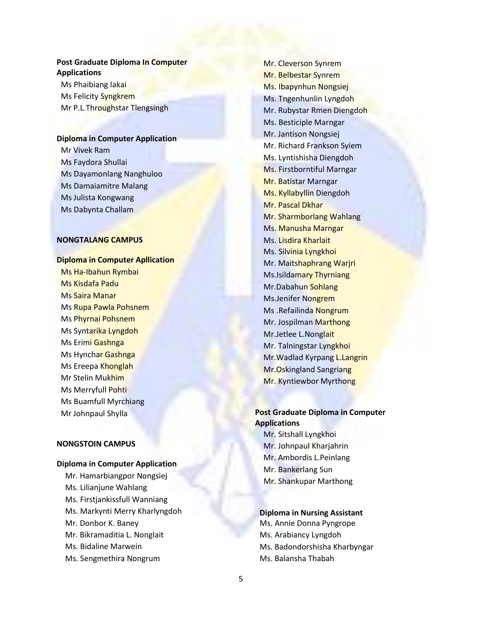### **Post Graduate Diploma In Computer Applications**

Ms Phaibiang Iakai Ms Felicity Syngkrem Mr P.L.Throughstar Tlengsingh

#### **Diploma in Computer Application**

Mr Vivek Ram Ms Faydora Shullai Ms Dayamonlang Nanghuloo Ms Damaiamitre Malang Ms Julista Kongwang Ms Dabynta Challam

#### **NONGTALANG CAMPUS**

#### **Diploma in Computer Apllication**

Ms Ha-Ibahun Rymbai Ms Kisdafa Padu Ms Saira Manar Ms Rupa Pawla Pohsnem Ms Phyrnai Pohsnem Ms Syntarika Lyngdoh Ms Erimi Gashnga Ms Hynchar Gashnga Ms Ereepa Khonglah Mr Stelin Mukhim Ms Merryfull Pohti Ms Buamfull Myrchiang Mr Johnpaul Shylla

#### **NONGSTOIN CAMPUS**

#### **Diploma in Computer Application**

Mr. Hamarbiangpor Nongsiej Ms. Lilianjune Wahlang Ms. Firstjankissfull Wanniang Ms. Markynti Merry Kharlyngdoh Mr. Donbor K. Baney Mr. Bikramaditia L. Nonglait Ms. Bidaline Marwein Ms. Sengmethira Nongrum

Mr. Cleverson Synrem Mr. Belbestar Synrem Ms. Ibapynhun Nongsiej Ms. Tngenhunlin Lyngdoh Mr. Rubystar Rmen Diengdoh Ms. Besticiple Marngar Mr. Jantison Nongsiej Mr. Richard Frankson Syiem Ms. Lyntishisha Diengdoh Ms. Firstborntiful Marngar Mr. Batistar Marngar Ms. Kyllabyllin Diengdoh Mr. Pascal Dkhar Mr. Sharmborlang Wahlang Ms. Manusha Marngar Ms. Lisdira Kharlait Ms. Silvinia Lyngkhoi Mr. Maitshaphrang Warjri Ms.Isildamary Thyrniang Mr.Dabahun Sohlang Ms.Jenifer Nongrem Ms .Refailinda Nongrum Mr. Jospilman Marthong Mr.Jetlee L.Nonglait Mr. Talningstar Lyngkhoi Mr.Wadlad Kyrpang L.Langrin Mr.Oskingland Sangriang Mr. Kyntiewbor Myrthong

### **Post Graduate Diploma in Computer Applications**

Mr. Sitshall Lyngkhoi Mr. Johnpaul Kharjahrin Mr. Ambordis L.Peinlang Mr. Bankerlang Sun Mr. Shankupar Marthong

#### **Diploma in Nursing Assistant**

 Ms. Annie Donna Pyngrope Ms. Arabiancy Lyngdoh Ms. Badondorshisha Kharbyngar Ms. Balansha Thabah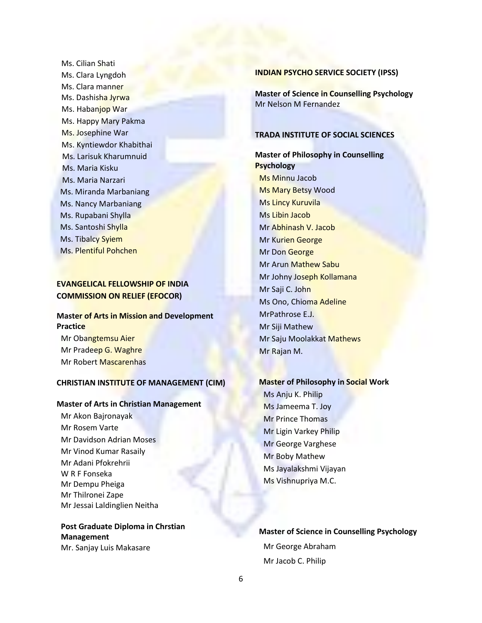Ms. Cilian Shati Ms. Clara Lyngdoh Ms. Clara manner Ms. Dashisha Jyrwa Ms. Habanjop War Ms. Happy Mary Pakma Ms. Josephine War Ms. Kyntiewdor Khabithai Ms. Larisuk Kharumnuid Ms. Maria Kisku Ms. Maria Narzari Ms. Miranda Marbaniang Ms. Nancy Marbaniang Ms. Rupabani Shylla Ms. Santoshi Shylla Ms. Tibalcy Syiem Ms. Plentiful Pohchen

## **EVANGELICAL FELLOWSHIP OF INDIA COMMISSION ON RELIEF (EFOCOR)**

## **Master of Arts in Mission and Development Practice**

Mr Obangtemsu Aier Mr Pradeep G. Waghre Mr Robert Mascarenhas

#### **CHRISTIAN INSTITUTE OF MANAGEMENT (CIM)**

#### **Master of Arts in Christian Management**

Mr Akon Bajronayak Mr Rosem Varte Mr Davidson Adrian Moses Mr Vinod Kumar Rasaily Mr Adani Pfokrehrii W R F Fonseka Mr Dempu Pheiga Mr Thilronei Zape Mr Jessai Laldinglien Neitha

**Post Graduate Diploma in Chrstian Management** Mr. Sanjay Luis Makasare

#### **INDIAN PSYCHO SERVICE SOCIETY (IPSS)**

**Master of Science in Counselling Psychology** Mr Nelson M Fernandez

#### **TRADA INSTITUTE OF SOCIAL SCIENCES**

## **Master of Philosophy in Counselling Psychology** Ms Minnu Jacob Ms Mary Betsy Wood Ms Lincy Kuruvila Ms Libin Jacob Mr Abhinash V. Jacob Mr Kurien George Mr Don George Mr Arun Mathew Sabu Mr Johny Joseph Kollamana Mr Saji C. John Ms Ono, Chioma Adeline MrPathrose E.J. Mr Siji Mathew Mr Saju Moolakkat Mathews Mr Rajan M.

#### **Master of Philosophy in Social Work**

Ms Anju K. Philip Ms Jameema T. Joy Mr Prince Thomas Mr Ligin Varkey Philip Mr George Varghese Mr Boby Mathew Ms Jayalakshmi Vijayan Ms Vishnupriya M.C.

## **Master of Science in Counselling Psychology** Mr George Abraham Mr Jacob C. Philip